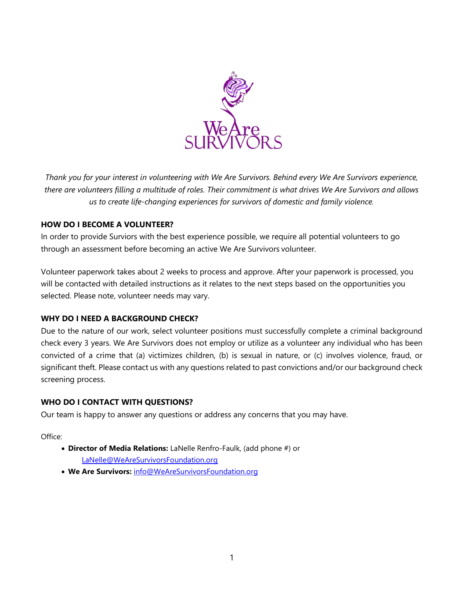

Thank you for your interest in volunteering with We Are Survivors. Behind every We Are Survivors experience, there are volunteers filling a multitude of roles. Their commitment is what drives We Are Survivors and allows us to create life-changing experiences for survivors of domestic and family violence.

## HOW DO I BECOME A VOLUNTEER?

In order to provide Surviors with the best experience possible, we require all potential volunteers to go through an assessment before becoming an active We Are Survivors volunteer.

Volunteer paperwork takes about 2 weeks to process and approve. After your paperwork is processed, you will be contacted with detailed instructions as it relates to the next steps based on the opportunities you selected. Please note, volunteer needs may vary.

# WHY DO I NEED A BACKGROUND CHECK?

Due to the nature of our work, select volunteer positions must successfully complete a criminal background check every 3 years. We Are Survivors does not employ or utilize as a volunteer any individual who has been convicted of a crime that (a) victimizes children, (b) is sexual in nature, or (c) involves violence, fraud, or significant theft. Please contact us with any questions related to past convictions and/or our background check screening process.

#### WHO DO I CONTACT WITH QUESTIONS?

Our team is happy to answer any questions or address any concerns that you may have.

Office:

- Director of Media Relations: LaNelle Renfro-Faulk, (add phone #) or LaNelle@WeAreSurvivorsFoundation.org
- We Are Survivors: info@WeAreSurvivorsFoundation.org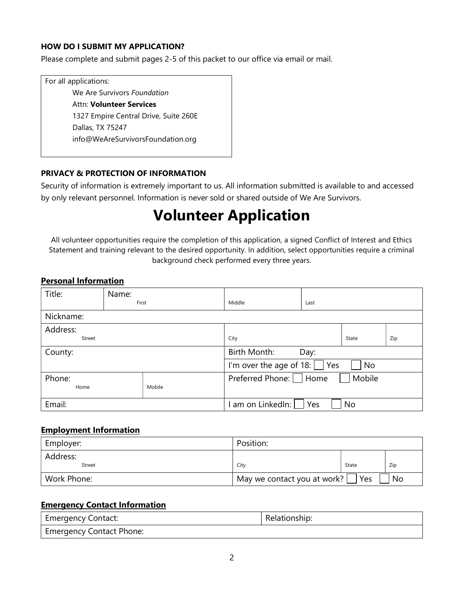#### HOW DO I SUBMIT MY APPLICATION?

Please complete and submit pages 2-5 of this packet to our office via email or mail.

For all applications: We Are Survivors Foundation Attn: Volunteer Services 1327 Empire Central Drive, Suite 260E Dallas, TX 75247 info@WeAreSurvivorsFoundation.org

## PRIVACY & PROTECTION OF INFORMATION

Security of information is extremely important to us. All information submitted is available to and accessed by only relevant personnel. Information is never sold or shared outside of We Are Survivors.

# Volunteer Application

All volunteer opportunities require the completion of this application, a signed Conflict of Interest and Ethics Statement and training relevant to the desired opportunity. In addition, select opportunities require a criminal background check performed every three years.

#### Personal Information

| Title:    | Name: |        |                                             |      |  |  |
|-----------|-------|--------|---------------------------------------------|------|--|--|
|           | First |        | Middle                                      | Last |  |  |
| Nickname: |       |        |                                             |      |  |  |
| Address:  |       |        |                                             |      |  |  |
| Street    |       |        | State<br>City<br>Zip                        |      |  |  |
| County:   |       |        | Birth Month:<br>Day:                        |      |  |  |
|           |       |        | I'm over the age of $18$ : $\Box$ Yes<br>No |      |  |  |
| Phone:    |       |        | Mobile<br>Preferred Phone:     Home         |      |  |  |
| Home      |       | Mobile |                                             |      |  |  |
| Email:    |       |        | am on LinkedIn:  <br>Yes<br>No              |      |  |  |

#### Employment Information

| Employer:          | Position:                                          |       |     |
|--------------------|----------------------------------------------------|-------|-----|
| Address:<br>Street | City                                               | State | Zip |
| Work Phone:        | Yes<br>No<br>May we contact you at work? $\lfloor$ |       |     |

#### Emergency Contact Information

| <b>Emergency Contact:</b>       | Relationship: |
|---------------------------------|---------------|
| <b>Emergency Contact Phone:</b> |               |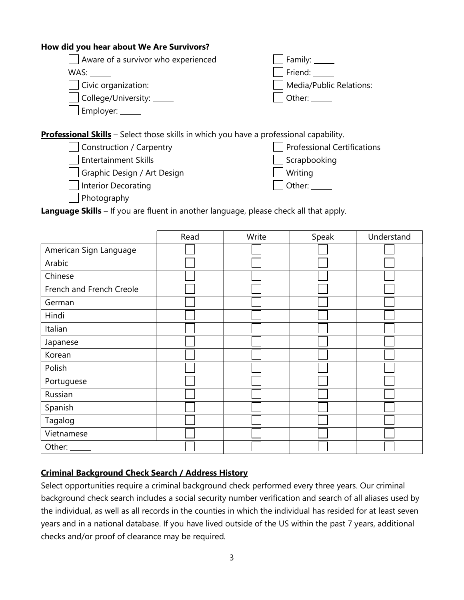## How did you hear about We Are Survivors?

| $\vert$ $\vert$ Aware of a survivor who experienced | $\vert$   Family: _____ |
|-----------------------------------------------------|-------------------------|
| WAS: www.                                           | $\vert$ Friend:         |
| $\vert$   Civic organization: $\vert$               | Media/Public Relations: |
| College/University: _____                           | $\vert$ $\vert$ Other:  |
| $\Box$ Employer: $\_\_\_\_\_\_\_\$                  |                         |

**Professional Skills** – Select those skills in which you have a professional capability.

| Construction / Carpentry |
|--------------------------|
| Entertainment Skills     |

Graphic Design / Art Design

 Professional Certifications Scrapbooking Writing

Other:

Interior Decorating

**Photography** 

Language Skills – If you are fluent in another language, please check all that apply.

|                          | Read | Write | Speak | Understand |
|--------------------------|------|-------|-------|------------|
| American Sign Language   |      |       |       |            |
| Arabic                   |      |       |       |            |
| Chinese                  |      |       |       |            |
| French and French Creole |      |       |       |            |
| German                   |      |       |       |            |
| Hindi                    |      |       |       |            |
| Italian                  |      |       |       |            |
| Japanese                 |      |       |       |            |
| Korean                   |      |       |       |            |
| Polish                   |      |       |       |            |
| Portuguese               |      |       |       |            |
| Russian                  |      |       |       |            |
| Spanish                  |      |       |       |            |
| Tagalog                  |      |       |       |            |
| Vietnamese               |      |       |       |            |
| Other:                   |      |       |       |            |

# Criminal Background Check Search / Address History

Select opportunities require a criminal background check performed every three years. Our criminal background check search includes a social security number verification and search of all aliases used by the individual, as well as all records in the counties in which the individual has resided for at least seven years and in a national database. If you have lived outside of the US within the past 7 years, additional checks and/or proof of clearance may be required.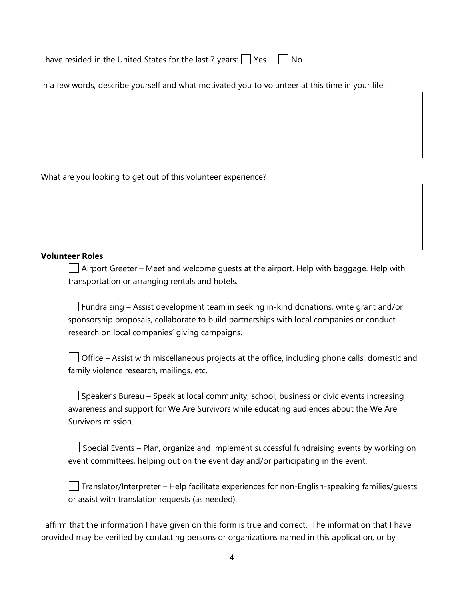| I have resided in the United States for the last 7 years: $\Box$ Yes $\Box$ No |  |  |
|--------------------------------------------------------------------------------|--|--|
|--------------------------------------------------------------------------------|--|--|

| In a few words, describe yourself and what motivated you to volunteer at this time in your life. |  |
|--------------------------------------------------------------------------------------------------|--|
|--------------------------------------------------------------------------------------------------|--|

What are you looking to get out of this volunteer experience?

# Volunteer Roles

 $\Box$  Airport Greeter – Meet and welcome guests at the airport. Help with baggage. Help with transportation or arranging rentals and hotels.

 Fundraising – Assist development team in seeking in-kind donations, write grant and/or sponsorship proposals, collaborate to build partnerships with local companies or conduct research on local companies' giving campaigns.

| $\Box$ Office – Assist with miscellaneous projects at the office, including phone calls, domestic and |  |  |
|-------------------------------------------------------------------------------------------------------|--|--|
| family violence research, mailings, etc.                                                              |  |  |

Speaker's Bureau – Speak at local community, school, business or civic events increasing awareness and support for We Are Survivors while educating audiences about the We Are Survivors mission.

Special Events – Plan, organize and implement successful fundraising events by working on event committees, helping out on the event day and/or participating in the event.

 Translator/Interpreter – Help facilitate experiences for non-English-speaking families/guests or assist with translation requests (as needed).

I affirm that the information I have given on this form is true and correct. The information that I have provided may be verified by contacting persons or organizations named in this application, or by